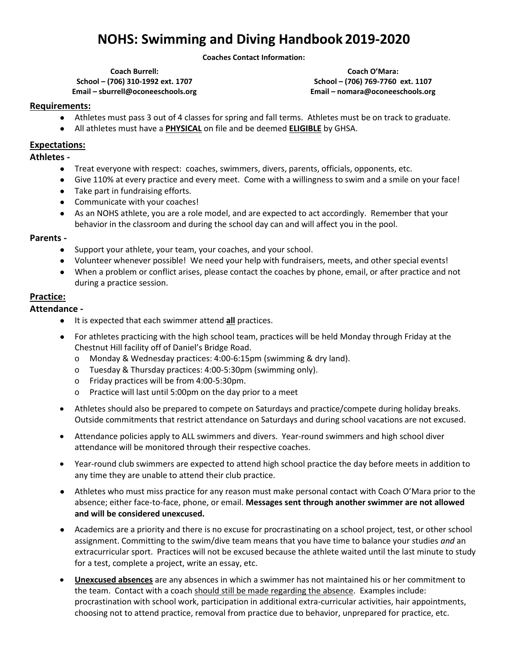# **NOHS: Swimming and Diving Handbook 2019-2020**

**Coaches Contact Information:**

**Coach Burrell: School – (706) 310-1992 ext. 1707 Email – sburrell@oconeeschools.org**

**Coach O'Mara: School – (706) 769-7760 ext. 1107 Email – nomara@oconeeschools.org**

#### **Requirements:**

- Athletes must pass 3 out of 4 classes for spring and fall terms. Athletes must be on track to graduate.
- All athletes must have a **PHYSICAL** on file and be deemed **ELIGIBLE** by GHSA.

### **Expectations:**

### **Athletes -**

- Treat everyone with respect: coaches, swimmers, divers, parents, officials, opponents, etc.
- Give 110% at every practice and every meet. Come with a willingness to swim and a smile on your face!
- Take part in fundraising efforts.
- Communicate with your coaches!
- As an NOHS athlete, you are a role model, and are expected to act accordingly. Remember that your behavior in the classroom and during the school day can and will affect you in the pool.

#### **Parents -**

- Support your athlete, your team, your coaches, and your school.
- Volunteer whenever possible! We need your help with fundraisers, meets, and other special events!
- When a problem or conflict arises, please contact the coaches by phone, email, or after practice and not during a practice session.

#### **Practice:**

### **Attendance -**

- It is expected that each swimmer attend **all** practices.
- For athletes practicing with the high school team, practices will be held Monday through Friday at the Chestnut Hill facility off of Daniel's Bridge Road.
	- o Monday & Wednesday practices: 4:00-6:15pm (swimming & dry land).
	- o Tuesday & Thursday practices: 4:00-5:30pm (swimming only).
	- o Friday practices will be from 4:00-5:30pm.
	- o Practice will last until 5:00pm on the day prior to a meet
- Athletes should also be prepared to compete on Saturdays and practice/compete during holiday breaks. Outside commitments that restrict attendance on Saturdays and during school vacations are not excused.
- Attendance policies apply to ALL swimmers and divers. Year-round swimmers and high school diver attendance will be monitored through their respective coaches.
- Year-round club swimmers are expected to attend high school practice the day before meets in addition to any time they are unable to attend their club practice.
- Athletes who must miss practice for any reason must make personal contact with Coach O'Mara prior to the absence; either face-to-face, phone, or email. **Messages sent through another swimmer are not allowed and will be considered unexcused.**
- Academics are a priority and there is no excuse for procrastinating on a school project, test, or other school assignment. Committing to the swim/dive team means that you have time to balance your studies *and* an extracurricular sport. Practices will not be excused because the athlete waited until the last minute to study for a test, complete a project, write an essay, etc.
- **Unexcused absences** are any absences in which a swimmer has not maintained his or her commitment to the team. Contact with a coach should still be made regarding the absence. Examples include: procrastination with school work, participation in additional extra-curricular activities, hair appointments, choosing not to attend practice, removal from practice due to behavior, unprepared for practice, etc.